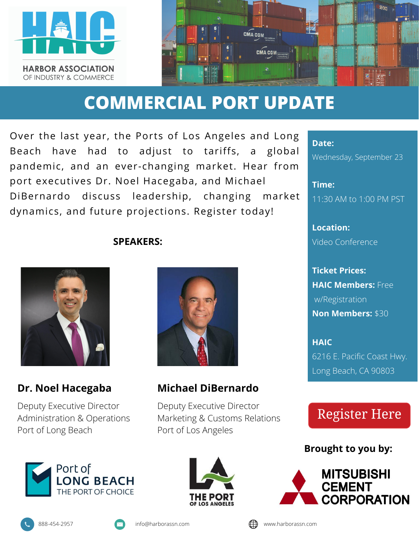



## **COMMERCIAL PORT UPDATE**

Over the last year, the Ports of Los Angeles and Long Beach have had to adjust to tariffs, a global pandemic, and an ever-changing market. Hear from port executives Dr. Noel Hacegaba, and Michael DiBernardo discuss leadership, changing market dynamics, and future projections. Register today!

#### **SPEAKERS:**



#### **Dr. Noel Hacegaba**

Deputy Executive Director Administration & Operations Port of Long Beach



#### **Michael DiBernardo**

Deputy Executive Director Marketing & Customs Relations Port of Los Angeles





**Date:**

Wednesday, September 23

**Time:** 11:30 AM to 1:00 PM PST

**Location:** Video Conference

**Ticket Prices: HAIC Members:** Free w/Registration **Non Members:** \$30

**HAIC** 6216 E. Pacific Coast Hwy. Long Beach, CA 90803

### **Register Here**

**Brought to you by:**



$$
\bigoplus \text{www.harboras}
$$